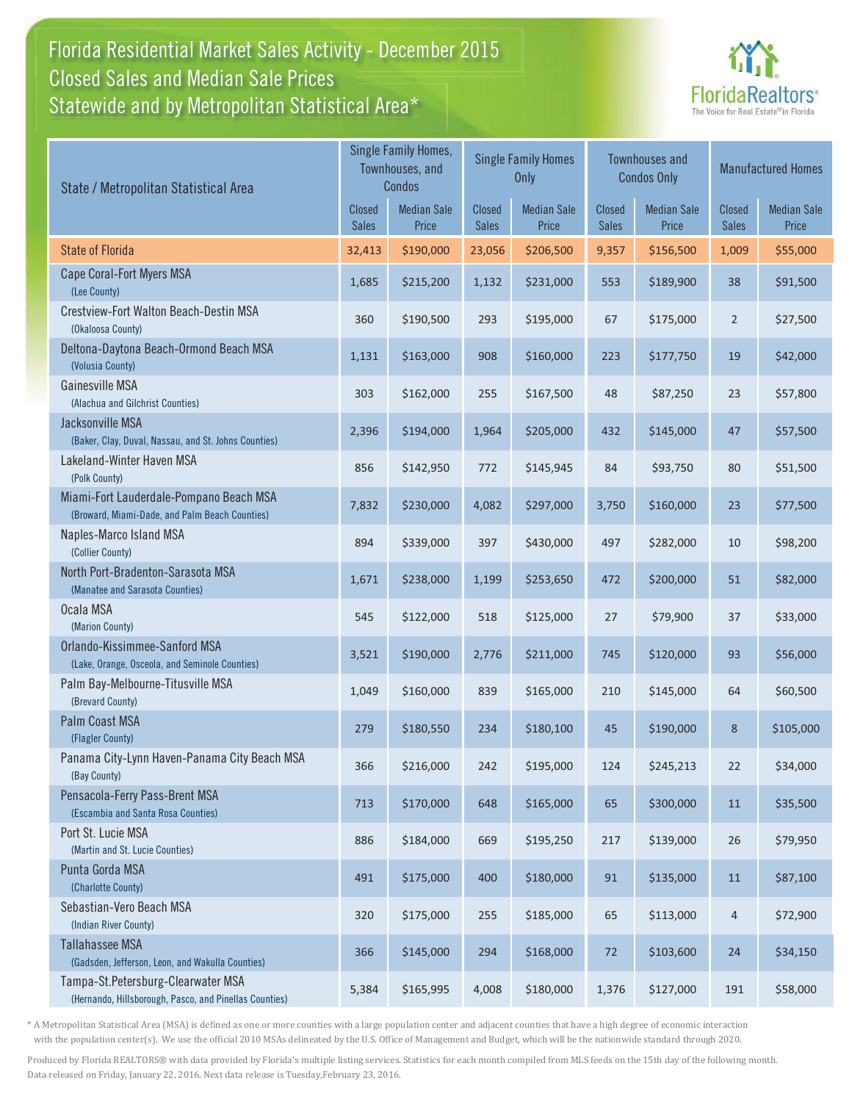### Florida Residential Market Sales Activity - December 2015 Statewide and by Metropolitan Statistical Area $^{\star}$ Closed Sales and Median Sale Prices



| State / Metropolitan Statistical Area                                                        |                               | Single Family Homes,<br><b>Single Family Homes</b><br>Townhouses, and<br>Only<br>Condos |                        | <b>Townhouses and</b><br><b>Condos Only</b> |                               | <b>Manufactured Homes</b>   |                        |                             |
|----------------------------------------------------------------------------------------------|-------------------------------|-----------------------------------------------------------------------------------------|------------------------|---------------------------------------------|-------------------------------|-----------------------------|------------------------|-----------------------------|
|                                                                                              | <b>Closed</b><br><b>Sales</b> | <b>Median Sale</b><br>Price                                                             | Closed<br><b>Sales</b> | <b>Median Sale</b><br>Price                 | <b>Closed</b><br><b>Sales</b> | <b>Median Sale</b><br>Price | Closed<br><b>Sales</b> | <b>Median Sale</b><br>Price |
| <b>State of Florida</b>                                                                      | 32,413                        | \$190,000                                                                               | 23,056                 | \$206,500                                   | 9,357                         | \$156,500                   | 1,009                  | \$55,000                    |
| Cape Coral-Fort Myers MSA<br>(Lee County)                                                    | 1,685                         | \$215,200                                                                               | 1,132                  | \$231,000                                   | 553                           | \$189,900                   | 38                     | \$91,500                    |
| Crestview-Fort Walton Beach-Destin MSA<br>(Okaloosa County)                                  | 360                           | \$190,500                                                                               | 293                    | \$195,000                                   | 67                            | \$175,000                   | $\overline{2}$         | \$27,500                    |
| Deltona-Daytona Beach-Ormond Beach MSA<br>(Volusia County)                                   | 1,131                         | \$163,000                                                                               | 908                    | \$160,000                                   | 223                           | \$177,750                   | 19                     | \$42,000                    |
| Gainesville MSA<br>(Alachua and Gilchrist Counties)                                          | 303                           | \$162,000                                                                               | 255                    | \$167,500                                   | 48                            | \$87,250                    | 23                     | \$57,800                    |
| Jacksonville MSA<br>(Baker, Clay, Duval, Nassau, and St. Johns Counties)                     | 2,396                         | \$194,000                                                                               | 1,964                  | \$205,000                                   | 432                           | \$145,000                   | 47                     | \$57,500                    |
| Lakeland-Winter Haven MSA<br>(Polk County)                                                   | 856                           | \$142,950                                                                               | 772                    | \$145,945                                   | 84                            | \$93,750                    | 80                     | \$51,500                    |
| Miami-Fort Lauderdale-Pompano Beach MSA<br>(Broward, Miami-Dade, and Palm Beach Counties)    | 7,832                         | \$230,000                                                                               | 4,082                  | \$297,000                                   | 3,750                         | \$160,000                   | 23                     | \$77,500                    |
| Naples-Marco Island MSA<br>(Collier County)                                                  | 894                           | \$339,000                                                                               | 397                    | \$430,000                                   | 497                           | \$282,000                   | 10                     | \$98,200                    |
| North Port-Bradenton-Sarasota MSA<br>(Manatee and Sarasota Counties)                         | 1,671                         | \$238,000                                                                               | 1,199                  | \$253,650                                   | 472                           | \$200,000                   | 51                     | \$82,000                    |
| Ocala MSA<br>(Marion County)                                                                 | 545                           | \$122,000                                                                               | 518                    | \$125,000                                   | 27                            | \$79,900                    | 37                     | \$33,000                    |
| Orlando-Kissimmee-Sanford MSA<br>(Lake, Orange, Osceola, and Seminole Counties)              | 3,521                         | \$190,000                                                                               | 2,776                  | \$211,000                                   | 745                           | \$120,000                   | 93                     | \$56,000                    |
| Palm Bay-Melbourne-Titusville MSA<br>(Brevard County)                                        | 1,049                         | \$160,000                                                                               | 839                    | \$165,000                                   | 210                           | \$145,000                   | 64                     | \$60,500                    |
| Palm Coast MSA<br>(Flagler County)                                                           | 279                           | \$180,550                                                                               | 234                    | \$180,100                                   | 45                            | \$190,000                   | 8                      | \$105,000                   |
| Panama City-Lynn Haven-Panama City Beach MSA<br>(Bay County)                                 | 366                           | \$216,000                                                                               | 242                    | \$195,000                                   | 124                           | \$245,213                   | 22                     | \$34,000                    |
| Pensacola-Ferry Pass-Brent MSA<br>(Escambia and Santa Rosa Counties)                         | 713                           | \$170,000                                                                               | 648                    | \$165,000                                   | 65                            | \$300,000                   | 11                     | \$35,500                    |
| Port St. Lucie MSA<br>(Martin and St. Lucie Counties)                                        | 886                           | \$184,000                                                                               | 669                    | \$195,250                                   | 217                           | \$139,000                   | 26                     | \$79,950                    |
| Punta Gorda MSA<br>(Charlotte County)                                                        | 491                           | \$175,000                                                                               | 400                    | \$180,000                                   | 91                            | \$135,000                   | $11\,$                 | \$87,100                    |
| Sebastian-Vero Beach MSA<br>(Indian River County)                                            | 320                           | \$175,000                                                                               | 255                    | \$185,000                                   | 65                            | \$113,000                   | 4                      | \$72,900                    |
| <b>Tallahassee MSA</b><br>(Gadsden, Jefferson, Leon, and Wakulla Counties)                   | 366                           | \$145,000                                                                               | 294                    | \$168,000                                   | 72                            | \$103,600                   | 24                     | \$34,150                    |
| Tampa-St.Petersburg-Clearwater MSA<br>(Hernando, Hillsborough, Pasco, and Pinellas Counties) | 5,384                         | \$165,995                                                                               | 4,008                  | \$180,000                                   | 1,376                         | \$127,000                   | 191                    | \$58,000                    |

\* A Metropolitan Statistical Area (MSA) is defined as one or more counties with a large population center and adjacent counties that have a high degree of economic interaction with the population center(s). We use the official 2010 MSAs delineated by the U.S. Office of Management and Budget, which will be the nationwide standard through 2020.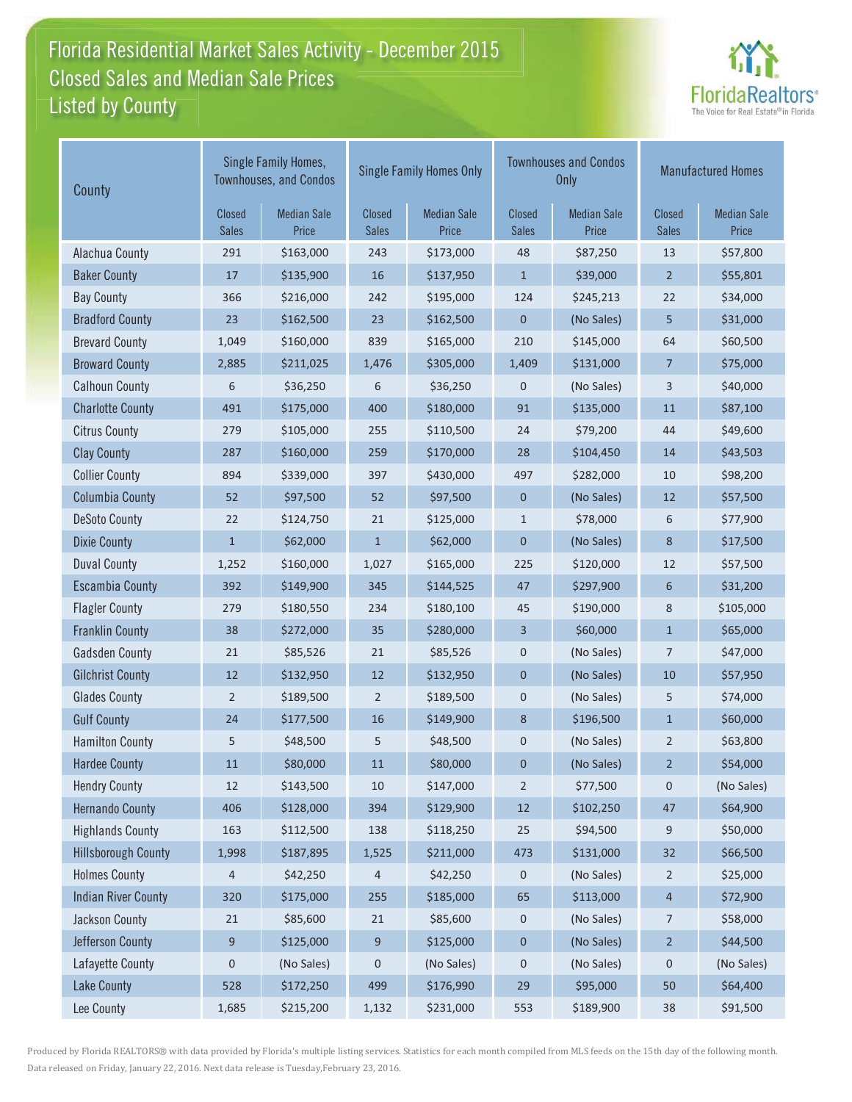### Florida Residential Market Sales Activity - December 2015 Listed by County-Closed Sales and Median Sale Prices



| County                     | Single Family Homes,<br><b>Townhouses, and Condos</b> |                             |                        | <b>Single Family Homes Only</b> |                        | <b>Townhouses and Condos</b><br><b>Only</b> |                        | <b>Manufactured Homes</b>   |  |
|----------------------------|-------------------------------------------------------|-----------------------------|------------------------|---------------------------------|------------------------|---------------------------------------------|------------------------|-----------------------------|--|
|                            | <b>Closed</b><br><b>Sales</b>                         | <b>Median Sale</b><br>Price | Closed<br><b>Sales</b> | <b>Median Sale</b><br>Price     | Closed<br><b>Sales</b> | <b>Median Sale</b><br>Price                 | Closed<br><b>Sales</b> | <b>Median Sale</b><br>Price |  |
| Alachua County             | 291                                                   | \$163,000                   | 243                    | \$173,000                       | 48                     | \$87,250                                    | 13                     | \$57,800                    |  |
| <b>Baker County</b>        | $17$                                                  | \$135,900                   | 16                     | \$137,950                       | $\mathbf{1}$           | \$39,000                                    | $\overline{2}$         | \$55,801                    |  |
| <b>Bay County</b>          | 366                                                   | \$216,000                   | 242                    | \$195,000                       | 124                    | \$245,213                                   | 22                     | \$34,000                    |  |
| <b>Bradford County</b>     | 23                                                    | \$162,500                   | 23                     | \$162,500                       | $\mathbf 0$            | (No Sales)                                  | 5                      | \$31,000                    |  |
| <b>Brevard County</b>      | 1,049                                                 | \$160,000                   | 839                    | \$165,000                       | 210                    | \$145,000                                   | 64                     | \$60,500                    |  |
| <b>Broward County</b>      | 2,885                                                 | \$211,025                   | 1,476                  | \$305,000                       | 1,409                  | \$131,000                                   | 7                      | \$75,000                    |  |
| <b>Calhoun County</b>      | 6                                                     | \$36,250                    | 6                      | \$36,250                        | $\mathbf 0$            | (No Sales)                                  | 3                      | \$40,000                    |  |
| <b>Charlotte County</b>    | 491                                                   | \$175,000                   | 400                    | \$180,000                       | 91                     | \$135,000                                   | 11                     | \$87,100                    |  |
| <b>Citrus County</b>       | 279                                                   | \$105,000                   | 255                    | \$110,500                       | 24                     | \$79,200                                    | 44                     | \$49,600                    |  |
| <b>Clay County</b>         | 287                                                   | \$160,000                   | 259                    | \$170,000                       | 28                     | \$104,450                                   | 14                     | \$43,503                    |  |
| <b>Collier County</b>      | 894                                                   | \$339,000                   | 397                    | \$430,000                       | 497                    | \$282,000                                   | 10                     | \$98,200                    |  |
| <b>Columbia County</b>     | 52                                                    | \$97,500                    | 52                     | \$97,500                        | $\mathbf 0$            | (No Sales)                                  | 12                     | \$57,500                    |  |
| <b>DeSoto County</b>       | 22                                                    | \$124,750                   | 21                     | \$125,000                       | $\mathbf{1}$           | \$78,000                                    | 6                      | \$77,900                    |  |
| <b>Dixie County</b>        | $\mathbf{1}$                                          | \$62,000                    | $\mathbf{1}$           | \$62,000                        | $\mathbf 0$            | (No Sales)                                  | 8                      | \$17,500                    |  |
| <b>Duval County</b>        | 1,252                                                 | \$160,000                   | 1,027                  | \$165,000                       | 225                    | \$120,000                                   | 12                     | \$57,500                    |  |
| <b>Escambia County</b>     | 392                                                   | \$149,900                   | 345                    | \$144,525                       | 47                     | \$297,900                                   | 6                      | \$31,200                    |  |
| <b>Flagler County</b>      | 279                                                   | \$180,550                   | 234                    | \$180,100                       | 45                     | \$190,000                                   | 8                      | \$105,000                   |  |
| <b>Franklin County</b>     | 38                                                    | \$272,000                   | 35                     | \$280,000                       | 3                      | \$60,000                                    | $\mathbf{1}$           | \$65,000                    |  |
| <b>Gadsden County</b>      | 21                                                    | \$85,526                    | 21                     | \$85,526                        | $\pmb{0}$              | (No Sales)                                  | $\overline{7}$         | \$47,000                    |  |
| <b>Gilchrist County</b>    | 12                                                    | \$132,950                   | 12                     | \$132,950                       | $\mathbf 0$            | (No Sales)                                  | 10                     | \$57,950                    |  |
| <b>Glades County</b>       | 2                                                     | \$189,500                   | $\overline{2}$         | \$189,500                       | $\pmb{0}$              | (No Sales)                                  | 5                      | \$74,000                    |  |
| <b>Gulf County</b>         | 24                                                    | \$177,500                   | 16                     | \$149,900                       | 8                      | \$196,500                                   | $\mathbf{1}$           | \$60,000                    |  |
| <b>Hamilton County</b>     | 5                                                     | \$48,500                    | 5                      | \$48,500                        | 0                      | (No Sales)                                  | 2                      | \$63,800                    |  |
| <b>Hardee County</b>       | 11                                                    | \$80,000                    | 11                     | \$80,000                        | $\pmb{0}$              | (No Sales)                                  | $\overline{2}$         | \$54,000                    |  |
| <b>Hendry County</b>       | 12                                                    | \$143,500                   | 10                     | \$147,000                       | $\overline{2}$         | \$77,500                                    | 0                      | (No Sales)                  |  |
| <b>Hernando County</b>     | 406                                                   | \$128,000                   | 394                    | \$129,900                       | $12\,$                 | \$102,250                                   | 47                     | \$64,900                    |  |
| <b>Highlands County</b>    | 163                                                   | \$112,500                   | 138                    | \$118,250                       | $25\,$                 | \$94,500                                    | 9                      | \$50,000                    |  |
| <b>Hillsborough County</b> | 1,998                                                 | \$187,895                   | 1,525                  | \$211,000                       | 473                    | \$131,000                                   | 32                     | \$66,500                    |  |
| <b>Holmes County</b>       | 4                                                     | \$42,250                    | 4                      | \$42,250                        | 0                      | (No Sales)                                  | $\overline{2}$         | \$25,000                    |  |
| <b>Indian River County</b> | 320                                                   | \$175,000                   | 255                    | \$185,000                       | 65                     | \$113,000                                   | 4                      | \$72,900                    |  |
| Jackson County             | $21\,$                                                | \$85,600                    | $21\,$                 | \$85,600                        | $\pmb{0}$              | (No Sales)                                  | $\overline{7}$         | \$58,000                    |  |
| Jefferson County           | 9                                                     | \$125,000                   | 9                      | \$125,000                       | $\mathbf 0$            | (No Sales)                                  | $\overline{2}$         | \$44,500                    |  |
| Lafayette County           | $\pmb{0}$                                             | (No Sales)                  | $\pmb{0}$              | (No Sales)                      | $\pmb{0}$              | (No Sales)                                  | $\pmb{0}$              | (No Sales)                  |  |
| <b>Lake County</b>         | 528                                                   | \$172,250                   | 499                    | \$176,990                       | 29                     | \$95,000                                    | 50                     | \$64,400                    |  |
| Lee County                 | 1,685                                                 | \$215,200                   | 1,132                  | \$231,000                       | 553                    | \$189,900                                   | 38                     | \$91,500                    |  |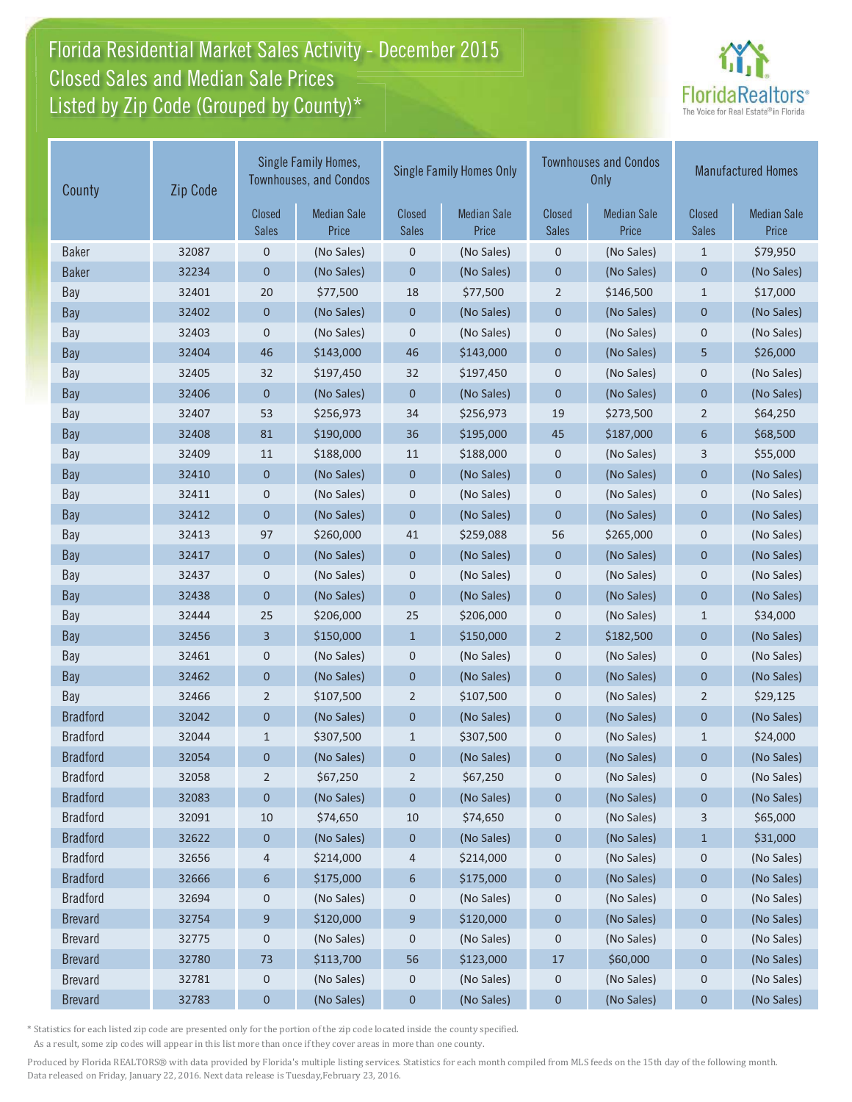# Florida Residential Market Sales Activity - December 2015 Closed Sales and Median Sale Prices  $\quad \equiv$ Listed by Zip Code (Grouped by County)\*



| County          | Zip Code               | Single Family Homes,<br><b>Townhouses, and Condos</b> |                               | <b>Single Family Homes Only</b> |                               |                             | <b>Townhouses and Condos</b><br><b>Only</b> | <b>Manufactured Homes</b>   |            |
|-----------------|------------------------|-------------------------------------------------------|-------------------------------|---------------------------------|-------------------------------|-----------------------------|---------------------------------------------|-----------------------------|------------|
|                 | Closed<br><b>Sales</b> | <b>Median Sale</b><br>Price                           | <b>Closed</b><br><b>Sales</b> | <b>Median Sale</b><br>Price     | <b>Closed</b><br><b>Sales</b> | <b>Median Sale</b><br>Price | <b>Closed</b><br><b>Sales</b>               | <b>Median Sale</b><br>Price |            |
| <b>Baker</b>    | 32087                  | 0                                                     | (No Sales)                    | $\pmb{0}$                       | (No Sales)                    | $\mathbf 0$                 | (No Sales)                                  | $\mathbf{1}$                | \$79,950   |
| <b>Baker</b>    | 32234                  | 0                                                     | (No Sales)                    | $\pmb{0}$                       | (No Sales)                    | $\pmb{0}$                   | (No Sales)                                  | $\pmb{0}$                   | (No Sales) |
| Bay             | 32401                  | 20                                                    | \$77,500                      | 18                              | \$77,500                      | $\overline{2}$              | \$146,500                                   | $\mathbf{1}$                | \$17,000   |
| Bay             | 32402                  | 0                                                     | (No Sales)                    | $\pmb{0}$                       | (No Sales)                    | $\pmb{0}$                   | (No Sales)                                  | $\mathbf 0$                 | (No Sales) |
| Bay             | 32403                  | 0                                                     | (No Sales)                    | $\mathsf 0$                     | (No Sales)                    | $\mathbf 0$                 | (No Sales)                                  | $\mathbf 0$                 | (No Sales) |
| Bay             | 32404                  | 46                                                    | \$143,000                     | 46                              | \$143,000                     | $\mathbf 0$                 | (No Sales)                                  | 5                           | \$26,000   |
| Bay             | 32405                  | 32                                                    | \$197,450                     | 32                              | \$197,450                     | $\pmb{0}$                   | (No Sales)                                  | $\mathbf 0$                 | (No Sales) |
| Bay             | 32406                  | 0                                                     | (No Sales)                    | 0                               | (No Sales)                    | $\mathbf 0$                 | (No Sales)                                  | $\mathbf 0$                 | (No Sales) |
| Bay             | 32407                  | 53                                                    | \$256,973                     | 34                              | \$256,973                     | 19                          | \$273,500                                   | $\overline{2}$              | \$64,250   |
| <b>Bay</b>      | 32408                  | 81                                                    | \$190,000                     | 36                              | \$195,000                     | 45                          | \$187,000                                   | 6                           | \$68,500   |
| Bay             | 32409                  | 11                                                    | \$188,000                     | 11                              | \$188,000                     | 0                           | (No Sales)                                  | 3                           | \$55,000   |
| Bay             | 32410                  | $\mathbf{0}$                                          | (No Sales)                    | $\mathbf 0$                     | (No Sales)                    | $\mathbf 0$                 | (No Sales)                                  | $\mathbf 0$                 | (No Sales) |
| Bay             | 32411                  | 0                                                     | (No Sales)                    | 0                               | (No Sales)                    | $\mathbf 0$                 | (No Sales)                                  | $\mathbf 0$                 | (No Sales) |
| Bay             | 32412                  | 0                                                     | (No Sales)                    | $\mathbf 0$                     | (No Sales)                    | $\mathbf 0$                 | (No Sales)                                  | $\mathbf{0}$                | (No Sales) |
| Bay             | 32413                  | 97                                                    | \$260,000                     | 41                              | \$259,088                     | 56                          | \$265,000                                   | $\mathbf 0$                 | (No Sales) |
| <b>Bay</b>      | 32417                  | $\mathbf 0$                                           | (No Sales)                    | $\boldsymbol{0}$                | (No Sales)                    | $\pmb{0}$                   | (No Sales)                                  | $\mathbf{0}$                | (No Sales) |
| Bay             | 32437                  | 0                                                     | (No Sales)                    | $\pmb{0}$                       | (No Sales)                    | $\mathbf 0$                 | (No Sales)                                  | $\mathbf 0$                 | (No Sales) |
| Bay             | 32438                  | 0                                                     | (No Sales)                    | $\mathbf 0$                     | (No Sales)                    | $\mathbf 0$                 | (No Sales)                                  | $\mathbf 0$                 | (No Sales) |
| Bay             | 32444                  | 25                                                    | \$206,000                     | 25                              | \$206,000                     | $\mathbf 0$                 | (No Sales)                                  | $1\,$                       | \$34,000   |
| Bay             | 32456                  | 3                                                     | \$150,000                     | $\mathbf{1}$                    | \$150,000                     | $\overline{2}$              | \$182,500                                   | $\mathbf 0$                 | (No Sales) |
| Bay             | 32461                  | 0                                                     | (No Sales)                    | 0                               | (No Sales)                    | $\pmb{0}$                   | (No Sales)                                  | 0                           | (No Sales) |
| <b>Bay</b>      | 32462                  | 0                                                     | (No Sales)                    | $\mathbf 0$                     | (No Sales)                    | $\mathbf 0$                 | (No Sales)                                  | $\mathbf 0$                 | (No Sales) |
| Bay             | 32466                  | $\overline{2}$                                        | \$107,500                     | $\overline{2}$                  | \$107,500                     | $\mathbf 0$                 | (No Sales)                                  | $\overline{2}$              | \$29,125   |
| <b>Bradford</b> | 32042                  | 0                                                     | (No Sales)                    | $\mathbf 0$                     | (No Sales)                    | $\mathbf 0$                 | (No Sales)                                  | $\mathbf{0}$                | (No Sales) |
| <b>Bradford</b> | 32044                  | $\mathbf{1}$                                          | \$307,500                     | $\mathbf{1}$                    | \$307,500                     | $\mathbf 0$                 | (No Sales)                                  | $\mathbf{1}$                | \$24,000   |
| <b>Bradford</b> | 32054                  | 0                                                     | (No Sales)                    | $\pmb{0}$                       | (No Sales)                    | $\mathbf 0$                 | (No Sales)                                  | $\mathbf 0$                 | (No Sales) |
| <b>Bradford</b> | 32058                  | 2                                                     | \$67,250                      | $\overline{2}$                  | \$67,250                      | 0                           | (No Sales)                                  | 0                           | (No Sales) |
| <b>Bradford</b> | 32083                  | 0                                                     | (No Sales)                    | 0                               | (No Sales)                    | $\boldsymbol{0}$            | (No Sales)                                  | 0                           | (No Sales) |
| <b>Bradford</b> | 32091                  | 10                                                    | \$74,650                      | 10                              | \$74,650                      | $\boldsymbol{0}$            | (No Sales)                                  | 3                           | \$65,000   |
| <b>Bradford</b> | 32622                  | 0                                                     | (No Sales)                    | $\boldsymbol{0}$                | (No Sales)                    | $\boldsymbol{0}$            | (No Sales)                                  | $\mathbf{1}$                | \$31,000   |
| <b>Bradford</b> | 32656                  | 4                                                     | \$214,000                     | 4                               | \$214,000                     | $\mathbf 0$                 | (No Sales)                                  | $\mathbf 0$                 | (No Sales) |
| <b>Bradford</b> | 32666                  | 6                                                     | \$175,000                     | 6                               | \$175,000                     | $\boldsymbol{0}$            | (No Sales)                                  | $\mathbf 0$                 | (No Sales) |
| <b>Bradford</b> | 32694                  | 0                                                     | (No Sales)                    | 0                               | (No Sales)                    | $\mathbf 0$                 | (No Sales)                                  | $\mathbf 0$                 | (No Sales) |
| <b>Brevard</b>  | 32754                  | 9                                                     | \$120,000                     | 9                               | \$120,000                     | $\boldsymbol{0}$            | (No Sales)                                  | $\boldsymbol{0}$            | (No Sales) |
| <b>Brevard</b>  | 32775                  | 0                                                     | (No Sales)                    | $\boldsymbol{0}$                | (No Sales)                    | $\boldsymbol{0}$            | (No Sales)                                  | $\mathbf 0$                 | (No Sales) |
| <b>Brevard</b>  | 32780                  | 73                                                    | \$113,700                     | 56                              | \$123,000                     | 17                          | \$60,000                                    | $\boldsymbol{0}$            | (No Sales) |
| <b>Brevard</b>  | 32781                  | 0                                                     | (No Sales)                    | 0                               | (No Sales)                    | 0                           | (No Sales)                                  | 0                           | (No Sales) |
| <b>Brevard</b>  | 32783                  | $\mathbf 0$                                           | (No Sales)                    | $\pmb{0}$                       | (No Sales)                    | $\pmb{0}$                   | (No Sales)                                  | 0                           | (No Sales) |

\* Statistics for each listed zip code are presented only for the portion of the zip code located inside the county specified.

As a result, some zip codes will appear in this list more than once if they cover areas in more than one county.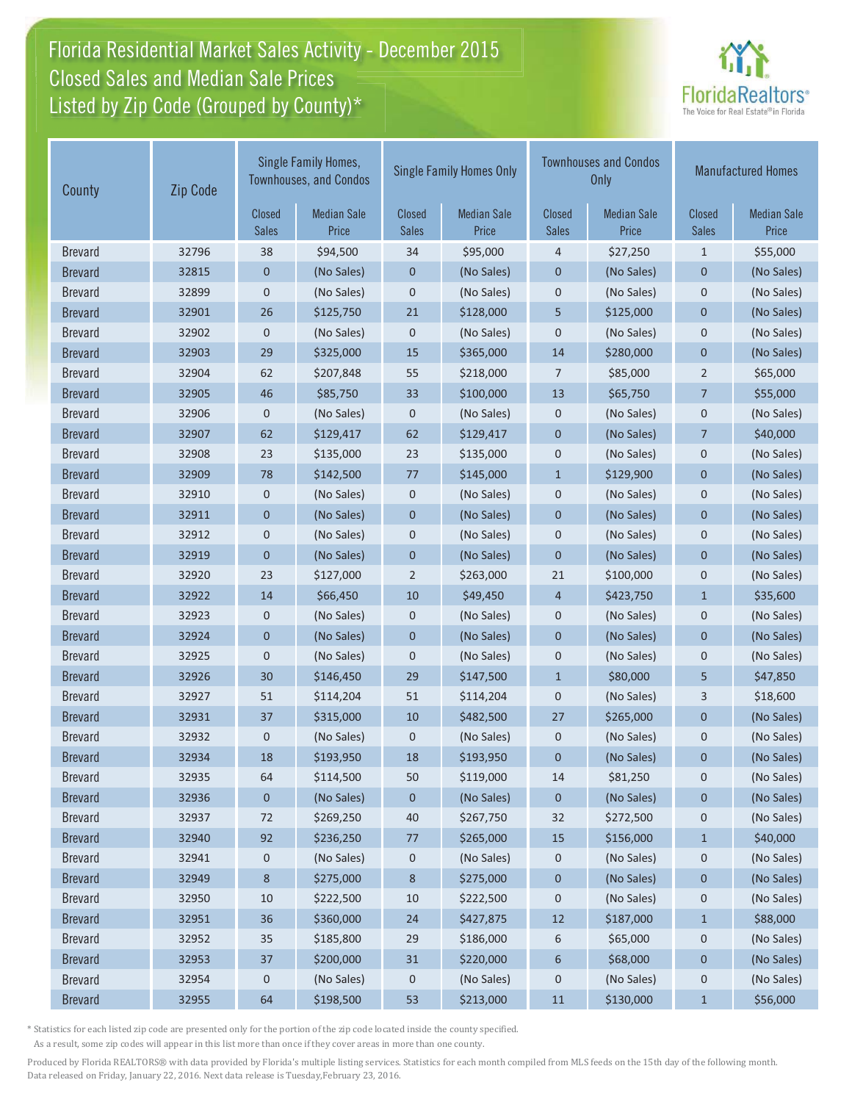# Florida Residential Market Sales Activity - December 2015 Closed Sales and Median Sale Prices  $\quad \equiv$ Listed by Zip Code (Grouped by County)\*



| County         | Zip Code | Single Family Homes,<br><b>Townhouses, and Condos</b> |                             | <b>Single Family Homes Only</b> |                             |                               | <b>Townhouses and Condos</b><br>Only | <b>Manufactured Homes</b> |                             |
|----------------|----------|-------------------------------------------------------|-----------------------------|---------------------------------|-----------------------------|-------------------------------|--------------------------------------|---------------------------|-----------------------------|
|                |          | <b>Closed</b><br>Sales                                | <b>Median Sale</b><br>Price | <b>Closed</b><br><b>Sales</b>   | <b>Median Sale</b><br>Price | <b>Closed</b><br><b>Sales</b> | <b>Median Sale</b><br>Price          | Closed<br><b>Sales</b>    | <b>Median Sale</b><br>Price |
| <b>Brevard</b> | 32796    | 38                                                    | \$94,500                    | 34                              | \$95,000                    | 4                             | \$27,250                             | $\mathbf{1}$              | \$55,000                    |
| <b>Brevard</b> | 32815    | $\mathbf 0$                                           | (No Sales)                  | $\pmb{0}$                       | (No Sales)                  | $\pmb{0}$                     | (No Sales)                           | 0                         | (No Sales)                  |
| <b>Brevard</b> | 32899    | 0                                                     | (No Sales)                  | 0                               | (No Sales)                  | $\mathbf 0$                   | (No Sales)                           | $\mathbf 0$               | (No Sales)                  |
| <b>Brevard</b> | 32901    | 26                                                    | \$125,750                   | 21                              | \$128,000                   | 5                             | \$125,000                            | $\mathbf 0$               | (No Sales)                  |
| <b>Brevard</b> | 32902    | 0                                                     | (No Sales)                  | 0                               | (No Sales)                  | $\mathbf 0$                   | (No Sales)                           | 0                         | (No Sales)                  |
| <b>Brevard</b> | 32903    | 29                                                    | \$325,000                   | 15                              | \$365,000                   | 14                            | \$280,000                            | $\mathbf 0$               | (No Sales)                  |
| <b>Brevard</b> | 32904    | 62                                                    | \$207,848                   | 55                              | \$218,000                   | $\overline{7}$                | \$85,000                             | $\overline{2}$            | \$65,000                    |
| <b>Brevard</b> | 32905    | 46                                                    | \$85,750                    | 33                              | \$100,000                   | 13                            | \$65,750                             | $\overline{7}$            | \$55,000                    |
| <b>Brevard</b> | 32906    | $\pmb{0}$                                             | (No Sales)                  | 0                               | (No Sales)                  | $\pmb{0}$                     | (No Sales)                           | $\mathbf 0$               | (No Sales)                  |
| <b>Brevard</b> | 32907    | 62                                                    | \$129,417                   | 62                              | \$129,417                   | $\mathbf 0$                   | (No Sales)                           | $\overline{7}$            | \$40,000                    |
| <b>Brevard</b> | 32908    | 23                                                    | \$135,000                   | 23                              | \$135,000                   | $\mathbf 0$                   | (No Sales)                           | $\mathbf 0$               | (No Sales)                  |
| <b>Brevard</b> | 32909    | 78                                                    | \$142,500                   | 77                              | \$145,000                   | $\mathbf{1}$                  | \$129,900                            | $\mathbf 0$               | (No Sales)                  |
| <b>Brevard</b> | 32910    | 0                                                     | (No Sales)                  | 0                               | (No Sales)                  | $\mathbf 0$                   | (No Sales)                           | $\mathbf 0$               | (No Sales)                  |
| <b>Brevard</b> | 32911    | $\pmb{0}$                                             | (No Sales)                  | $\mathbf 0$                     | (No Sales)                  | $\mathbf 0$                   | (No Sales)                           | $\mathbf{0}$              | (No Sales)                  |
| <b>Brevard</b> | 32912    | 0                                                     | (No Sales)                  | 0                               | (No Sales)                  | $\mathbf 0$                   | (No Sales)                           | $\mathbf 0$               | (No Sales)                  |
| <b>Brevard</b> | 32919    | $\mathbf 0$                                           | (No Sales)                  | $\pmb{0}$                       | (No Sales)                  | $\mathbf 0$                   | (No Sales)                           | $\mathbf 0$               | (No Sales)                  |
| <b>Brevard</b> | 32920    | 23                                                    | \$127,000                   | $\overline{2}$                  | \$263,000                   | 21                            | \$100,000                            | $\mathbf 0$               | (No Sales)                  |
| <b>Brevard</b> | 32922    | 14                                                    | \$66,450                    | 10                              | \$49,450                    | $\overline{4}$                | \$423,750                            | $\mathbf{1}$              | \$35,600                    |
| <b>Brevard</b> | 32923    | 0                                                     | (No Sales)                  | 0                               | (No Sales)                  | $\mathbf 0$                   | (No Sales)                           | $\mathbf 0$               | (No Sales)                  |
| <b>Brevard</b> | 32924    | $\mathbf 0$                                           | (No Sales)                  | $\pmb{0}$                       | (No Sales)                  | $\mathbf 0$                   | (No Sales)                           | $\mathbf 0$               | (No Sales)                  |
| <b>Brevard</b> | 32925    | 0                                                     | (No Sales)                  | 0                               | (No Sales)                  | $\pmb{0}$                     | (No Sales)                           | $\pmb{0}$                 | (No Sales)                  |
| <b>Brevard</b> | 32926    | 30                                                    | \$146,450                   | 29                              | \$147,500                   | $1\,$                         | \$80,000                             | 5                         | \$47,850                    |
| <b>Brevard</b> | 32927    | 51                                                    | \$114,204                   | 51                              | \$114,204                   | $\mathbf 0$                   | (No Sales)                           | 3                         | \$18,600                    |
| <b>Brevard</b> | 32931    | 37                                                    | \$315,000                   | 10                              | \$482,500                   | 27                            | \$265,000                            | $\mathbf{0}$              | (No Sales)                  |
| <b>Brevard</b> | 32932    | 0                                                     | (No Sales)                  | 0                               | (No Sales)                  | $\mathbf 0$                   | (No Sales)                           | $\mathbf 0$               | (No Sales)                  |
| <b>Brevard</b> | 32934    | 18                                                    | \$193,950                   | 18                              | \$193,950                   | $\mathbf 0$                   | (No Sales)                           | $\mathbf 0$               | (No Sales)                  |
| <b>Brevard</b> | 32935    | 64                                                    | \$114,500                   | 50                              | \$119,000                   | 14                            | \$81,250                             | $\mathbf 0$               | (No Sales)                  |
| <b>Brevard</b> | 32936    | 0                                                     | (No Sales)                  | 0                               | (No Sales)                  | $\mathbf 0$                   | (No Sales)                           | 0                         | (No Sales)                  |
| <b>Brevard</b> | 32937    | 72                                                    | \$269,250                   | 40                              | \$267,750                   | 32                            | \$272,500                            | 0                         | (No Sales)                  |
| <b>Brevard</b> | 32940    | 92                                                    | \$236,250                   | 77                              | \$265,000                   | 15                            | \$156,000                            | $\mathbf{1}$              | \$40,000                    |
| <b>Brevard</b> | 32941    | 0                                                     | (No Sales)                  | 0                               | (No Sales)                  | 0                             | (No Sales)                           | $\mathbf 0$               | (No Sales)                  |
| <b>Brevard</b> | 32949    | 8                                                     | \$275,000                   | 8                               | \$275,000                   | $\boldsymbol{0}$              | (No Sales)                           | $\mathbf 0$               | (No Sales)                  |
| <b>Brevard</b> | 32950    | 10                                                    | \$222,500                   | 10                              | \$222,500                   | $\mathbf 0$                   | (No Sales)                           | $\mathbf 0$               | (No Sales)                  |
| <b>Brevard</b> | 32951    | 36                                                    | \$360,000                   | 24                              | \$427,875                   | 12                            | \$187,000                            | $\mathbf{1}$              | \$88,000                    |
| <b>Brevard</b> | 32952    | 35                                                    | \$185,800                   | 29                              | \$186,000                   | 6                             | \$65,000                             | $\mathbf 0$               | (No Sales)                  |
| <b>Brevard</b> | 32953    | 37                                                    | \$200,000                   | 31                              | \$220,000                   | 6                             | \$68,000                             | $\pmb{0}$                 | (No Sales)                  |
| <b>Brevard</b> | 32954    | 0                                                     | (No Sales)                  | 0                               | (No Sales)                  | $\mathbf 0$                   | (No Sales)                           | 0                         | (No Sales)                  |
| <b>Brevard</b> | 32955    | 64                                                    | \$198,500                   | 53                              | \$213,000                   | 11                            | \$130,000                            | $\mathbf{1}$              | \$56,000                    |

\* Statistics for each listed zip code are presented only for the portion of the zip code located inside the county specified.

As a result, some zip codes will appear in this list more than once if they cover areas in more than one county.